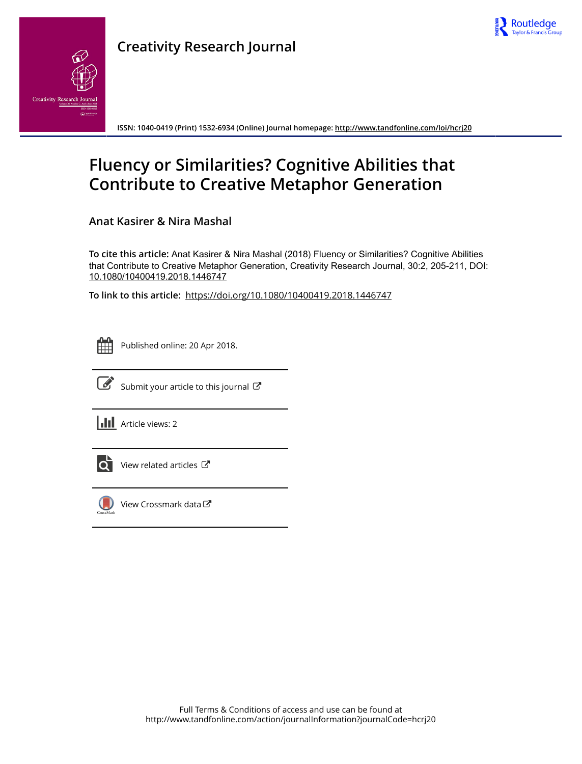



**ISSN: 1040-0419 (Print) 1532-6934 (Online) Journal homepage:<http://www.tandfonline.com/loi/hcrj20>**

# **Fluency or Similarities? Cognitive Abilities that Contribute to Creative Metaphor Generation**

**Anat Kasirer & Nira Mashal**

**To cite this article:** Anat Kasirer & Nira Mashal (2018) Fluency or Similarities? Cognitive Abilities that Contribute to Creative Metaphor Generation, Creativity Research Journal, 30:2, 205-211, DOI: [10.1080/10400419.2018.1446747](http://www.tandfonline.com/action/showCitFormats?doi=10.1080/10400419.2018.1446747)

**To link to this article:** <https://doi.org/10.1080/10400419.2018.1446747>

|  | -- |  |
|--|----|--|
|  |    |  |
|  |    |  |
|  |    |  |

Published online: 20 Apr 2018.



 $\overrightarrow{S}$  [Submit your article to this journal](http://www.tandfonline.com/action/authorSubmission?journalCode=hcrj20&show=instructions)  $\overrightarrow{S}$ 

**III** Article views: 2



 $\overline{Q}$  [View related articles](http://www.tandfonline.com/doi/mlt/10.1080/10400419.2018.1446747)  $\overline{C}$ 



 $\bigcirc$  [View Crossmark data](http://crossmark.crossref.org/dialog/?doi=10.1080/10400419.2018.1446747&domain=pdf&date_stamp=2018-04-20) $\mathbb{Z}$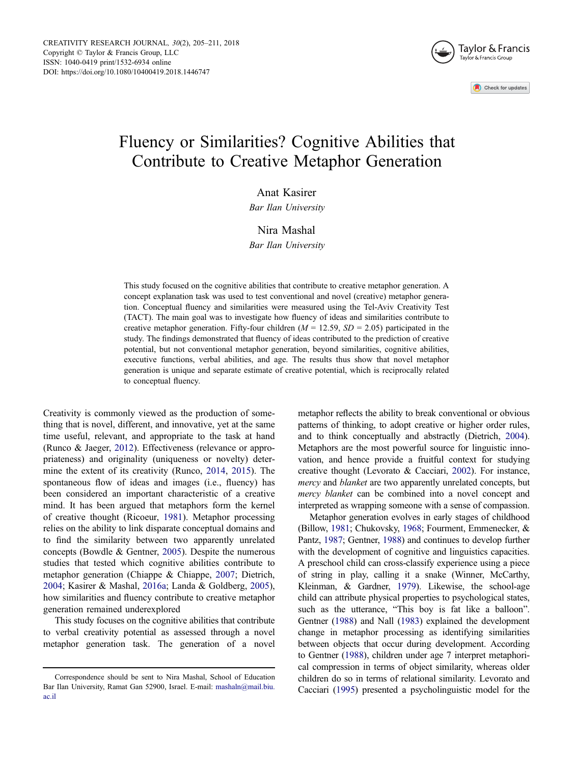

# <span id="page-1-0"></span>Fluency or Similarities? Cognitive Abilities that Contribute to Creative Metaphor Generation

## Anat Kasirer

Bar Ilan University

### Nira Mashal

Bar Ilan University

This study focused on the cognitive abilities that contribute to creative metaphor generation. A concept explanation task was used to test conventional and novel (creative) metaphor generation. Conceptual fluency and similarities were measured using the Tel-Aviv Creativity Test (TACT). The main goal was to investigate how fluency of ideas and similarities contribute to creative metaphor generation. Fifty-four children ( $M = 12.59$ ,  $SD = 2.05$ ) participated in the study. The findings demonstrated that fluency of ideas contributed to the prediction of creative potential, but not conventional metaphor generation, beyond similarities, cognitive abilities, executive functions, verbal abilities, and age. The results thus show that novel metaphor generation is unique and separate estimate of creative potential, which is reciprocally related to conceptual fluency.

Creativity is commonly viewed as the production of something that is novel, different, and innovative, yet at the same time useful, relevant, and appropriate to the task at hand (Runco & Jaeger, [2012\)](#page-7-0). Effectiveness (relevance or appropriateness) and originality (uniqueness or novelty) determine the extent of its creativity (Runco, [2014,](#page-7-0) [2015](#page-7-0)). The spontaneous flow of ideas and images (i.e., fluency) has been considered an important characteristic of a creative mind. It has been argued that metaphors form the kernel of creative thought (Ricoeur, [1981](#page-7-0)). Metaphor processing relies on the ability to link disparate conceptual domains and to find the similarity between two apparently unrelated concepts (Bowdle & Gentner, [2005](#page-6-0)). Despite the numerous studies that tested which cognitive abilities contribute to metaphor generation (Chiappe & Chiappe, [2007;](#page-6-0) Dietrich, [2004;](#page-6-0) Kasirer & Mashal, [2016a](#page-6-0); Landa & Goldberg, [2005](#page-6-0)), how similarities and fluency contribute to creative metaphor generation remained underexplored

This study focuses on the cognitive abilities that contribute to verbal creativity potential as assessed through a novel metaphor generation task. The generation of a novel metaphor reflects the ability to break conventional or obvious patterns of thinking, to adopt creative or higher order rules, and to think conceptually and abstractly (Dietrich, [2004\)](#page-6-0). Metaphors are the most powerful source for linguistic innovation, and hence provide a fruitful context for studying creative thought (Levorato & Cacciari, [2002](#page-7-0)). For instance, mercy and blanket are two apparently unrelated concepts, but mercy blanket can be combined into a novel concept and interpreted as wrapping someone with a sense of compassion.

Metaphor generation evolves in early stages of childhood (Billow, [1981;](#page-6-0) Chukovsky, [1968;](#page-6-0) Fourment, Emmenecker, & Pantz, [1987](#page-6-0); Gentner, [1988](#page-6-0)) and continues to develop further with the development of cognitive and linguistics capacities. A preschool child can cross-classify experience using a piece of string in play, calling it a snake (Winner, McCarthy, Kleinman, & Gardner, [1979](#page-7-0)). Likewise, the school-age child can attribute physical properties to psychological states, such as the utterance, "This boy is fat like a balloon". Gentner [\(1988\)](#page-6-0) and Nall [\(1983\)](#page-7-0) explained the development change in metaphor processing as identifying similarities between objects that occur during development. According to Gentner [\(1988\)](#page-6-0), children under age 7 interpret metaphorical compression in terms of object similarity, whereas older children do so in terms of relational similarity. Levorato and Cacciari [\(1995](#page-7-0)) presented a psycholinguistic model for the

Correspondence should be sent to Nira Mashal, School of Education Bar Ilan University, Ramat Gan 52900, Israel. E-mail: mashaln@mail.biu. ac.il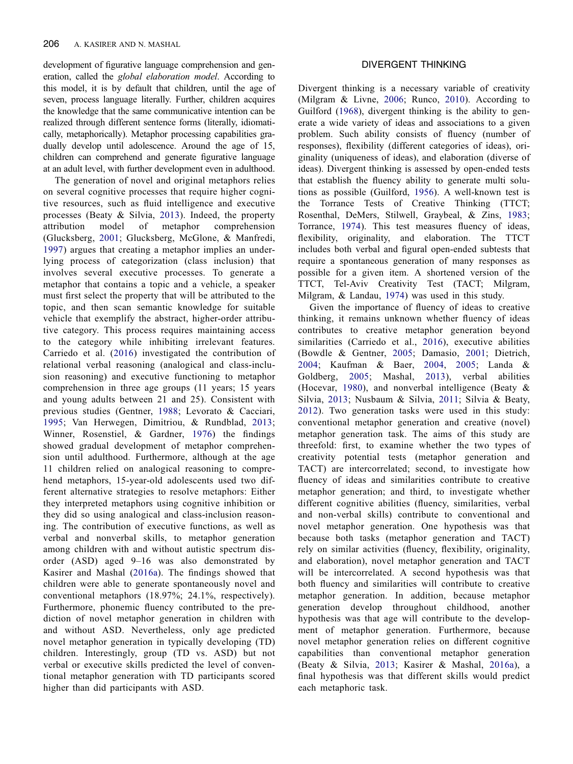<span id="page-2-0"></span>development of figurative language comprehension and generation, called the global elaboration model. According to this model, it is by default that children, until the age of seven, process language literally. Further, children acquires the knowledge that the same communicative intention can be realized through different sentence forms (literally, idiomatically, metaphorically). Metaphor processing capabilities gradually develop until adolescence. Around the age of 15, children can comprehend and generate figurative language at an adult level, with further development even in adulthood.

The generation of novel and original metaphors relies on several cognitive processes that require higher cognitive resources, such as fluid intelligence and executive processes (Beaty & Silvia, [2013](#page-6-0)). Indeed, the property attribution model of metaphor comprehension (Glucksberg, [2001;](#page-6-0) Glucksberg, McGlone, & Manfredi, [1997\)](#page-6-0) argues that creating a metaphor implies an underlying process of categorization (class inclusion) that involves several executive processes. To generate a metaphor that contains a topic and a vehicle, a speaker must first select the property that will be attributed to the topic, and then scan semantic knowledge for suitable vehicle that exemplify the abstract, higher-order attributive category. This process requires maintaining access to the category while inhibiting irrelevant features. Carriedo et al. ([2016\)](#page-6-0) investigated the contribution of relational verbal reasoning (analogical and class-inclusion reasoning) and executive functioning to metaphor comprehension in three age groups (11 years; 15 years and young adults between 21 and 25). Consistent with previous studies (Gentner, [1988;](#page-6-0) Levorato & Cacciari, [1995;](#page-7-0) Van Herwegen, Dimitriou, & Rundblad, [2013](#page-7-0); Winner, Rosenstiel, & Gardner, [1976\)](#page-7-0) the findings showed gradual development of metaphor comprehension until adulthood. Furthermore, although at the age 11 children relied on analogical reasoning to comprehend metaphors, 15-year-old adolescents used two different alternative strategies to resolve metaphors: Either they interpreted metaphors using cognitive inhibition or they did so using analogical and class-inclusion reasoning. The contribution of executive functions, as well as verbal and nonverbal skills, to metaphor generation among children with and without autistic spectrum disorder (ASD) aged 9–16 was also demonstrated by Kasirer and Mashal ([2016a\)](#page-6-0). The findings showed that children were able to generate spontaneously novel and conventional metaphors (18.97%; 24.1%, respectively). Furthermore, phonemic fluency contributed to the prediction of novel metaphor generation in children with and without ASD. Nevertheless, only age predicted novel metaphor generation in typically developing (TD) children. Interestingly, group (TD vs. ASD) but not verbal or executive skills predicted the level of conventional metaphor generation with TD participants scored higher than did participants with ASD.

### DIVERGENT THINKING

Divergent thinking is a necessary variable of creativity (Milgram & Livne, [2006](#page-7-0); Runco, [2010\)](#page-7-0). According to Guilford [\(1968\)](#page-6-0), divergent thinking is the ability to generate a wide variety of ideas and associations to a given problem. Such ability consists of fluency (number of responses), flexibility (different categories of ideas), originality (uniqueness of ideas), and elaboration (diverse of ideas). Divergent thinking is assessed by open-ended tests that establish the fluency ability to generate multi solutions as possible (Guilford, [1956\)](#page-6-0). A well-known test is the Torrance Tests of Creative Thinking (TTCT; Rosenthal, DeMers, Stilwell, Graybeal, & Zins, [1983;](#page-7-0) Torrance, [1974](#page-7-0)). This test measures fluency of ideas, flexibility, originality, and elaboration. The TTCT includes both verbal and figural open-ended subtests that require a spontaneous generation of many responses as possible for a given item. A shortened version of the TTCT, Tel-Aviv Creativity Test (TACT; Milgram, Milgram, & Landau, [1974\)](#page-7-0) was used in this study.

Given the importance of fluency of ideas to creative thinking, it remains unknown whether fluency of ideas contributes to creative metaphor generation beyond similarities (Carriedo et al., [2016](#page-6-0)), executive abilities (Bowdle & Gentner, [2005;](#page-6-0) Damasio, [2001;](#page-6-0) Dietrich, [2004;](#page-6-0) Kaufman & Baer, [2004](#page-6-0), [2005](#page-6-0); Landa & Goldberg, [2005;](#page-6-0) Mashal, [2013](#page-7-0)), verbal abilities (Hocevar, [1980\)](#page-6-0), and nonverbal intelligence (Beaty & Silvia, [2013;](#page-6-0) Nusbaum & Silvia, [2011;](#page-7-0) Silvia & Beaty, [2012\)](#page-7-0). Two generation tasks were used in this study: conventional metaphor generation and creative (novel) metaphor generation task. The aims of this study are threefold: first, to examine whether the two types of creativity potential tests (metaphor generation and TACT) are intercorrelated; second, to investigate how fluency of ideas and similarities contribute to creative metaphor generation; and third, to investigate whether different cognitive abilities (fluency, similarities, verbal and non-verbal skills) contribute to conventional and novel metaphor generation. One hypothesis was that because both tasks (metaphor generation and TACT) rely on similar activities (fluency, flexibility, originality, and elaboration), novel metaphor generation and TACT will be intercorrelated. A second hypothesis was that both fluency and similarities will contribute to creative metaphor generation. In addition, because metaphor generation develop throughout childhood, another hypothesis was that age will contribute to the development of metaphor generation. Furthermore, because novel metaphor generation relies on different cognitive capabilities than conventional metaphor generation (Beaty & Silvia, [2013;](#page-6-0) Kasirer & Mashal, [2016a\)](#page-6-0), a final hypothesis was that different skills would predict each metaphoric task.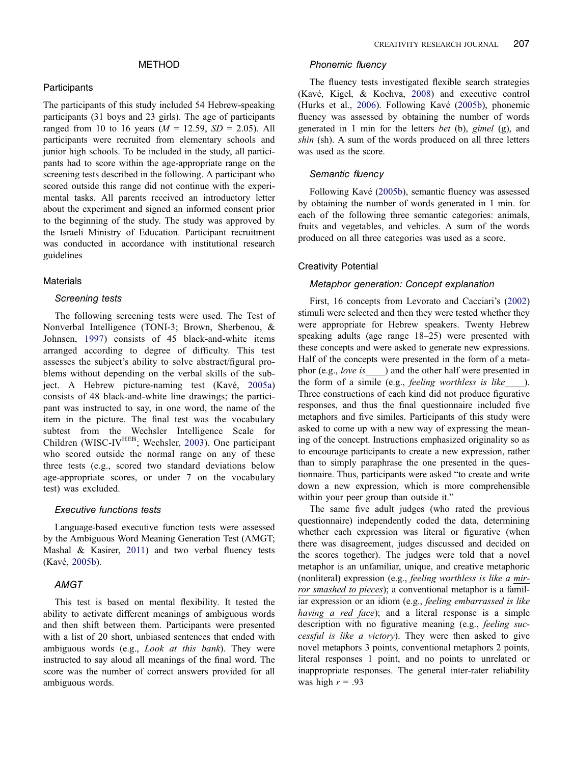### METHOD

#### <span id="page-3-0"></span>**Participants**

The participants of this study included 54 Hebrew-speaking participants (31 boys and 23 girls). The age of participants ranged from 10 to 16 years ( $M = 12.59$ ,  $SD = 2.05$ ). All participants were recruited from elementary schools and junior high schools. To be included in the study, all participants had to score within the age-appropriate range on the screening tests described in the following. A participant who scored outside this range did not continue with the experimental tasks. All parents received an introductory letter about the experiment and signed an informed consent prior to the beginning of the study. The study was approved by the Israeli Ministry of Education. Participant recruitment was conducted in accordance with institutional research guidelines

#### **Materials**

# Screening tests

The following screening tests were used. The Test of Nonverbal Intelligence (TONI-3; Brown, Sherbenou, & Johnsen, [1997\)](#page-6-0) consists of 45 black-and-white items arranged according to degree of difficulty. This test assesses the subject's ability to solve abstract/figural problems without depending on the verbal skills of the subject. A Hebrew picture-naming test (Kavé, [2005a\)](#page-6-0) consists of 48 black-and-white line drawings; the participant was instructed to say, in one word, the name of the item in the picture. The final test was the vocabulary subtest from the Wechsler Intelligence Scale for Children (WISC-IV<sup>HEB</sup>; Wechsler, [2003\)](#page-7-0). One participant who scored outside the normal range on any of these three tests (e.g., scored two standard deviations below age-appropriate scores, or under 7 on the vocabulary test) was excluded.

#### **Executive functions tests** Executive functions tests

Language-based executive function tests were assessed by the Ambiguous Word Meaning Generation Test (AMGT; Mashal & Kasirer, [2011\)](#page-7-0) and two verbal fluency tests (Kavé, [2005b\)](#page-6-0).

# AMGT

This test is based on mental flexibility. It tested the ability to activate different meanings of ambiguous words and then shift between them. Participants were presented with a list of 20 short, unbiased sentences that ended with ambiguous words (e.g., Look at this bank). They were instructed to say aloud all meanings of the final word. The score was the number of correct answers provided for all ambiguous words.

### Phonemic fluency

The fluency tests investigated flexible search strategies (Kavé, Kigel, & Kochva, [2008\)](#page-6-0) and executive control (Hurks et al., [2006\)](#page-6-0). Following Kavé ([2005b\)](#page-6-0), phonemic fluency was assessed by obtaining the number of words generated in 1 min for the letters bet (b), gimel (g), and shin (sh). A sum of the words produced on all three letters was used as the score.

#### Semantic fluency

Following Kavé [\(2005b](#page-6-0)), semantic fluency was assessed by obtaining the number of words generated in 1 min. for each of the following three semantic categories: animals, fruits and vegetables, and vehicles. A sum of the words produced on all three categories was used as a score.

#### Creativity Potential

#### Metaphor generation: Concept explanation

First, 16 concepts from Levorato and Cacciari's [\(2002](#page-7-0)) stimuli were selected and then they were tested whether they were appropriate for Hebrew speakers. Twenty Hebrew speaking adults (age range 18–25) were presented with these concepts and were asked to generate new expressions. Half of the concepts were presented in the form of a metaphor (e.g., love is \_\_\_\_) and the other half were presented in the form of a simile (e.g., *feeling worthless is like* \_\_\_\_). Three constructions of each kind did not produce figurative responses, and thus the final questionnaire included five metaphors and five similes. Participants of this study were asked to come up with a new way of expressing the meaning of the concept. Instructions emphasized originality so as to encourage participants to create a new expression, rather than to simply paraphrase the one presented in the questionnaire. Thus, participants were asked "to create and write down a new expression, which is more comprehensible within your peer group than outside it."

The same five adult judges (who rated the previous questionnaire) independently coded the data, determining whether each expression was literal or figurative (when there was disagreement, judges discussed and decided on the scores together). The judges were told that a novel metaphor is an unfamiliar, unique, and creative metaphoric (nonliteral) expression (e.g., feeling worthless is like a mirror smashed to pieces); a conventional metaphor is a familiar expression or an idiom (e.g., feeling embarrassed is like having a red face); and a literal response is a simple description with no figurative meaning (e.g., *feeling suc*cessful is like a victory). They were then asked to give novel metaphors 3 points, conventional metaphors 2 points, literal responses 1 point, and no points to unrelated or inappropriate responses. The general inter-rater reliability was high  $r = .93$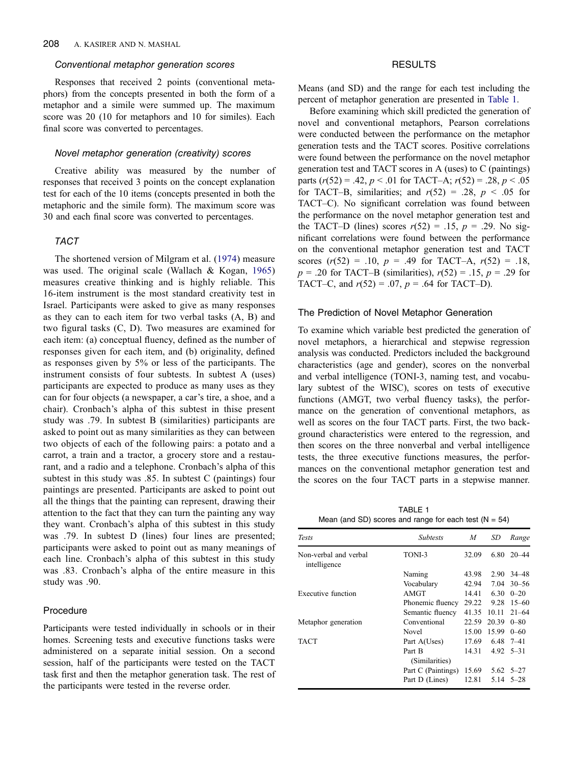# <span id="page-4-0"></span>Conventional metaphor generation scores

Responses that received 2 points (conventional metaphors) from the concepts presented in both the form of a metaphor and a simile were summed up. The maximum score was 20 (10 for metaphors and 10 for similes). Each final score was converted to percentages.

# Novel metaphor generation (creativity) scores

Creative ability was measured by the number of responses that received 3 points on the concept explanation test for each of the 10 items (concepts presented in both the metaphoric and the simile form). The maximum score was 30 and each final score was converted to percentages.

# TACT

The shortened version of Milgram et al. [\(1974\)](#page-7-0) measure was used. The original scale (Wallach & Kogan, [1965\)](#page-7-0) measures creative thinking and is highly reliable. This 16-item instrument is the most standard creativity test in Israel. Participants were asked to give as many responses as they can to each item for two verbal tasks (A, B) and two figural tasks (C, D). Two measures are examined for each item: (a) conceptual fluency, defined as the number of responses given for each item, and (b) originality, defined as responses given by 5% or less of the participants. The instrument consists of four subtests. In subtest A (uses) participants are expected to produce as many uses as they can for four objects (a newspaper, a car's tire, a shoe, and a chair). Cronbach's alpha of this subtest in thise present study was .79. In subtest B (similarities) participants are asked to point out as many similarities as they can between two objects of each of the following pairs: a potato and a carrot, a train and a tractor, a grocery store and a restaurant, and a radio and a telephone. Cronbach's alpha of this subtest in this study was .85. In subtest C (paintings) four paintings are presented. Participants are asked to point out all the things that the painting can represent, drawing their attention to the fact that they can turn the painting any way they want. Cronbach's alpha of this subtest in this study was .79. In subtest D (lines) four lines are presented; participants were asked to point out as many meanings of each line. Cronbach's alpha of this subtest in this study was .83. Cronbach's alpha of the entire measure in this study was .90.

#### Procedure

Participants were tested individually in schools or in their homes. Screening tests and executive functions tasks were administered on a separate initial session. On a second session, half of the participants were tested on the TACT task first and then the metaphor generation task. The rest of the participants were tested in the reverse order.

### **RESULTS**

Means (and SD) and the range for each test including the percent of metaphor generation are presented in Table 1.

Before examining which skill predicted the generation of novel and conventional metaphors, Pearson correlations were conducted between the performance on the metaphor generation tests and the TACT scores. Positive correlations were found between the performance on the novel metaphor generation test and TACT scores in A (uses) to C (paintings) parts  $(r(52) = .42, p < .01$  for TACT–A;  $r(52) = .28, p < .05$ for TACT–B, similarities; and  $r(52) = .28$ ,  $p < .05$  for TACT–C). No significant correlation was found between the performance on the novel metaphor generation test and the TACT–D (lines) scores  $r(52) = .15$ ,  $p = .29$ . No significant correlations were found between the performance on the conventional metaphor generation test and TACT scores  $(r(52) = .10, p = .49$  for TACT–A,  $r(52) = .18$ ,  $p = .20$  for TACT–B (similarities),  $r(52) = .15$ ,  $p = .29$  for TACT–C, and  $r(52) = .07$ ,  $p = .64$  for TACT–D).

#### The Prediction of Novel Metaphor Generation

To examine which variable best predicted the generation of novel metaphors, a hierarchical and stepwise regression analysis was conducted. Predictors included the background characteristics (age and gender), scores on the nonverbal and verbal intelligence (TONI-3, naming test, and vocabulary subtest of the WISC), scores on tests of executive functions (AMGT, two verbal fluency tasks), the performance on the generation of conventional metaphors, as well as scores on the four TACT parts. First, the two background characteristics were entered to the regression, and then scores on the three nonverbal and verbal intelligence tests, the three executive functions measures, the performances on the conventional metaphor generation test and the scores on the four TACT parts in a stepwise manner.

TABLE 1 Mean (and SD) scores and range for each test  $(N = 54)$ 

| <b>Tests</b>                          | <b>Subtests</b>    | M     | SD    | Range               |  |
|---------------------------------------|--------------------|-------|-------|---------------------|--|
| Non-verbal and verbal<br>intelligence | TONI-3             | 32.09 | 6.80  | $20 - 44$           |  |
|                                       | Naming             | 43.98 | 2.90  | 34 – 48             |  |
|                                       | Vocabulary         | 42.94 | 7.04  | $30 - 56$           |  |
| Executive function                    | AMGT               | 14.41 | 6.30  | $0 - 20$            |  |
|                                       | Phonemic fluency   | 29.22 | 9.28  | $15 - 60$           |  |
|                                       | Semantic fluency   | 41.35 | 10.11 | $21 - 64$           |  |
| Metaphor generation                   | Conventional       | 22.59 | 20.39 | $0 - 80$            |  |
|                                       | Novel              | 15.00 | 15.99 | $0 - 60$            |  |
| <b>TACT</b>                           | Part A(Uses)       | 17.69 |       | $6.48$ 7-41         |  |
|                                       | Part B             | 14.31 |       | $4.92 \quad 5 - 31$ |  |
|                                       | (Similarities)     |       |       |                     |  |
|                                       | Part C (Paintings) | 15.69 |       | $5.62 \quad 5 - 27$ |  |
|                                       | Part D (Lines)     | 12.81 | 5.14  | $5 - 28$            |  |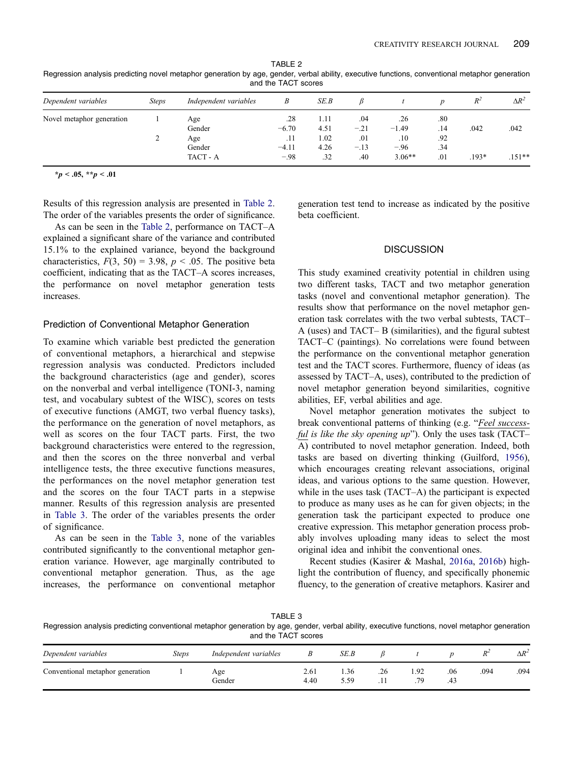<span id="page-5-0"></span>TABLE 2 Regression analysis predicting novel metaphor generation by age, gender, verbal ability, executive functions, conventional metaphor generation and the TACT scores

| Dependent variables       | <b>Steps</b> | Independent variables | B       | SE.B |        |          |     |         | $\Delta R^2$ |
|---------------------------|--------------|-----------------------|---------|------|--------|----------|-----|---------|--------------|
| Novel metaphor generation |              | Age                   | .28     | 1.11 | .04    | .26      | .80 |         |              |
|                           |              | Gender                | $-6.70$ | 4.51 | $-.21$ | $-1.49$  | .14 | .042    | .042         |
|                           |              | Age                   | .11     | 1.02 | .01    | .10      | .92 |         |              |
|                           |              | Gender                | $-4.11$ | 4.26 | $-.13$ | $-.96$   | .34 |         |              |
|                           |              | TACT - A              | $-.98$  | .32  | .40    | $3.06**$ | .01 | $.193*$ | $.151**$     |

 $**p* < .05, ***p* < .01$ 

Results of this regression analysis are presented in Table 2. The order of the variables presents the order of significance.

As can be seen in the Table 2, performance on TACT–A explained a significant share of the variance and contributed 15.1% to the explained variance, beyond the background characteristics,  $F(3, 50) = 3.98$ ,  $p < .05$ . The positive beta coefficient, indicating that as the TACT–A scores increases, the performance on novel metaphor generation tests increases.

#### Prediction of Conventional Metaphor Generation

To examine which variable best predicted the generation of conventional metaphors, a hierarchical and stepwise regression analysis was conducted. Predictors included the background characteristics (age and gender), scores on the nonverbal and verbal intelligence (TONI-3, naming test, and vocabulary subtest of the WISC), scores on tests of executive functions (AMGT, two verbal fluency tasks), the performance on the generation of novel metaphors, as well as scores on the four TACT parts. First, the two background characteristics were entered to the regression, and then the scores on the three nonverbal and verbal intelligence tests, the three executive functions measures, the performances on the novel metaphor generation test and the scores on the four TACT parts in a stepwise manner. Results of this regression analysis are presented in Table 3. The order of the variables presents the order of significance.

As can be seen in the Table 3, none of the variables contributed significantly to the conventional metaphor generation variance. However, age marginally contributed to conventional metaphor generation. Thus, as the age increases, the performance on conventional metaphor generation test tend to increase as indicated by the positive beta coefficient.

### **DISCUSSION**

This study examined creativity potential in children using two different tasks, TACT and two metaphor generation tasks (novel and conventional metaphor generation). The results show that performance on the novel metaphor generation task correlates with the two verbal subtests, TACT– A (uses) and TACT– B (similarities), and the figural subtest TACT–C (paintings). No correlations were found between the performance on the conventional metaphor generation test and the TACT scores. Furthermore, fluency of ideas (as assessed by TACT–A, uses), contributed to the prediction of novel metaphor generation beyond similarities, cognitive abilities, EF, verbal abilities and age.

Novel metaphor generation motivates the subject to break conventional patterns of thinking (e.g. "Feel successful is like the sky opening up"). Only the uses task (TACT-A) contributed to novel metaphor generation. Indeed, both tasks are based on diverting thinking (Guilford, [1956\)](#page-6-0), which encourages creating relevant associations, original ideas, and various options to the same question. However, while in the uses task (TACT–A) the participant is expected to produce as many uses as he can for given objects; in the generation task the participant expected to produce one creative expression. This metaphor generation process probably involves uploading many ideas to select the most original idea and inhibit the conventional ones.

Recent studies (Kasirer & Mashal, [2016a](#page-6-0), [2016b](#page-6-0)) highlight the contribution of fluency, and specifically phonemic fluency, to the generation of creative metaphors. Kasirer and

| ARI F |  |  |
|-------|--|--|
|-------|--|--|

Regression analysis predicting conventional metaphor generation by age, gender, verbal ability, executive functions, novel metaphor generation and the TACT scores

| Dependent variables              | <b>Steps</b> | Independent variables |              | SE.B         |          |            |            | $\overline{\mathbf{r}}$ | $\Delta R^2$ |
|----------------------------------|--------------|-----------------------|--------------|--------------|----------|------------|------------|-------------------------|--------------|
| Conventional metaphor generation |              | Age<br>Gender         | 2.61<br>4.40 | 1.36<br>5.59 | .26<br>. | 1.92<br>79 | .06<br>.43 | .094                    | .094         |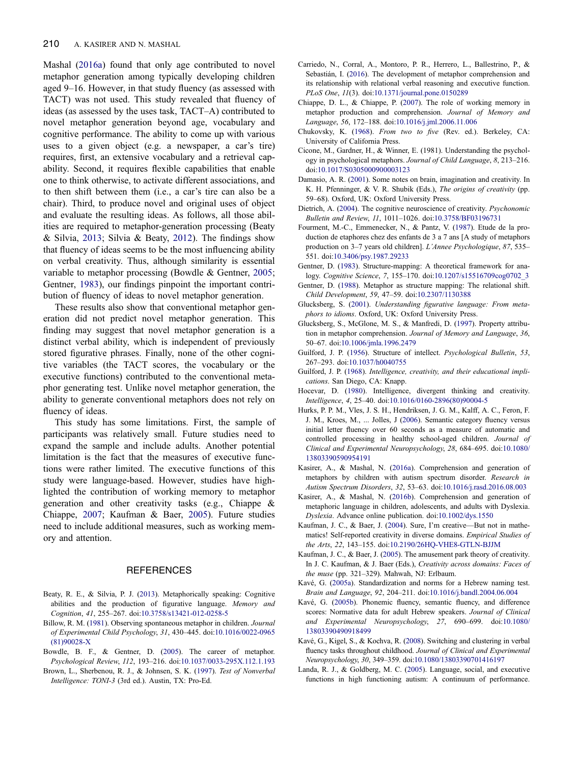<span id="page-6-0"></span>Mashal (2016a) found that only age contributed to novel metaphor generation among typically developing children aged 9–16. However, in that study fluency (as assessed with TACT) was not used. This study revealed that fluency of ideas (as assessed by the uses task, TACT–A) contributed to novel metaphor generation beyond age, vocabulary and cognitive performance. The ability to come up with various uses to a given object (e.g. a newspaper, a car's tire) requires, first, an extensive vocabulary and a retrieval capability. Second, it requires flexible capabilities that enable one to think otherwise, to activate different associations, and to then shift between them (i.e., a car's tire can also be a chair). Third, to produce novel and original uses of object and evaluate the resulting ideas. As follows, all those abilities are required to metaphor-generation processing (Beaty & Silvia, 2013; Silvia & Beaty, [2012](#page-7-0)). The findings show that fluency of ideas seems to be the most influencing ability on verbal creativity. Thus, although similarity is essential variable to metaphor processing (Bowdle & Gentner, 2005; Gentner, 1983), our findings pinpoint the important contribution of fluency of ideas to novel metaphor generation.

These results also show that conventional metaphor generation did not predict novel metaphor generation. This finding may suggest that novel metaphor generation is a distinct verbal ability, which is independent of previously stored figurative phrases. Finally, none of the other cognitive variables (the TACT scores, the vocabulary or the executive functions) contributed to the conventional metaphor generating test. Unlike novel metaphor generation, the ability to generate conventional metaphors does not rely on fluency of ideas.

This study has some limitations. First, the sample of participants was relatively small. Future studies need to expand the sample and include adults. Another potential limitation is the fact that the measures of executive functions were rather limited. The executive functions of this study were language-based. However, studies have highlighted the contribution of working memory to metaphor generation and other creativity tasks (e.g., Chiappe & Chiappe, 2007; Kaufman & Baer, 2005). Future studies need to include additional measures, such as working memory and attention.

#### **REFERENCES**

- Beaty, R. E., & Silvia, P. J. ([2013\)](#page-2-0). Metaphorically speaking: Cognitive abilities and the production of figurative language. Memory and Cognition, 41, 255–267. doi[:10.3758/s13421-012-0258-5](http://dx.doi.org/10.3758/s13421-012-0258-5)
- Billow, R. M. ([1981\)](#page-1-0). Observing spontaneous metaphor in children. Journal of Experimental Child Psychology, 31, 430–445. doi:[10.1016/0022-0965](http://dx.doi.org/10.1016/0022-0965(81)90028-X) [\(81\)90028-X](http://dx.doi.org/10.1016/0022-0965(81)90028-X)
- Bowdle, B. F., & Gentner, D. [\(2005](#page-1-0)). The career of metaphor. Psychological Review, 112, 193–216. doi[:10.1037/0033-295X.112.1.193](http://dx.doi.org/10.1037/0033-295X.112.1.193)
- Brown, L., Sherbenou, R. J., & Johnsen, S. K. ([1997\)](#page-3-0). Test of Nonverbal Intelligence: TONI-3 (3rd ed.). Austin, TX: Pro-Ed.
- Carriedo, N., Corral, A., Montoro, P. R., Herrero, L., Ballestrino, P., & Sebastián, I. [\(2016](#page-2-0)). The development of metaphor comprehension and its relationship with relational verbal reasoning and executive function. PLoS One, 11(3). doi:[10.1371/journal.pone.0150289](http://dx.doi.org/10.1371/journal.pone.0150289)
- Chiappe, D. L., & Chiappe, P. ([2007\)](#page-1-0). The role of working memory in metaphor production and comprehension. Journal of Memory and Language, 56, 172–188. doi:[10.1016/j.jml.2006.11.006](http://dx.doi.org/10.1016/j.jml.2006.11.006)
- Chukovsky, K. [\(1968](#page-1-0)). From two to five (Rev. ed.). Berkeley, CA: University of California Press.
- Cicone, M., Gardner, H., & Winner, E. (1981). Understanding the psychology in psychological metaphors. Journal of Child Language, 8, 213–216. doi[:10.1017/S0305000900003123](http://dx.doi.org/10.1017/S0305000900003123)
- Damasio, A. R. [\(2001](#page-2-0)). Some notes on brain, imagination and creativity. In K. H. Pfenninger, & V. R. Shubik (Eds.), The origins of creativity (pp. 59–68). Oxford, UK: Oxford University Press.
- Dietrich, A. ([2004\)](#page-1-0). The cognitive neuroscience of creativity. Psychonomic Bulletin and Review, 11, 1011–1026. doi[:10.3758/BF03196731](http://dx.doi.org/10.3758/BF03196731)
- Fourment, M.-C., Emmenecker, N., & Pantz, V. ([1987\)](#page-1-0). Etude de la production de etaphores chez des enfants de 3 a 7 ans [A study of metaphors production on 3–7 years old children]. L'Annee Psychologique, 87, 535– 551. doi:[10.3406/psy.1987.29233](http://dx.doi.org/10.3406/psy.1987.29233)
- Gentner, D. (1983). Structure-mapping: A theoretical framework for analogy. Cognitive Science, 7, 155–170. doi[:10.1207/s15516709cog0702\\_3](http://dx.doi.org/10.1207/s15516709cog0702%5F3)
- Gentner, D. [\(1988\)](#page-1-0). Metaphor as structure mapping: The relational shift. Child Development, 59, 47–59. doi:[10.2307/1130388](http://dx.doi.org/10.2307/1130388)
- Glucksberg, S. [\(2001](#page-2-0)). Understanding figurative language: From metaphors to idioms. Oxford, UK: Oxford University Press.
- Glucksberg, S., McGlone, M. S., & Manfredi, D. [\(1997](#page-2-0)). Property attribution in metaphor comprehension. Journal of Memory and Language, 36, 50–67. doi:[10.1006/jmla.1996.2479](http://dx.doi.org/10.1006/jmla.1996.2479)
- Guilford, J. P. [\(1956](#page-2-0)). Structure of intellect. Psychological Bulletin, 53, 267–293. doi:[10.1037/h0040755](http://dx.doi.org/10.1037/h0040755)
- Guilford, J. P. ([1968\)](#page-2-0). Intelligence, creativity, and their educational implications. San Diego, CA: Knapp.
- Hocevar, D. [\(1980](#page-2-0)). Intelligence, divergent thinking and creativity. Intelligence, 4, 25–40. doi:[10.1016/0160-2896\(80\)90004-5](http://dx.doi.org/10.1016/0160-2896(80)90004-5)
- Hurks, P. P. M., Vles, J. S. H., Hendriksen, J. G. M., Kalff, A. C., Feron, F. J. M., Kroes, M., ... Jolles, J [\(2006](#page-3-0)). Semantic category fluency versus initial letter fluency over 60 seconds as a measure of automatic and controlled processing in healthy school-aged children. Journal of Clinical and Experimental Neuropsychology, 28, 684–695. doi[:10.1080/](http://dx.doi.org/10.1080/13803390590954191) [13803390590954191](http://dx.doi.org/10.1080/13803390590954191)
- Kasirer, A., & Mashal, N. ([2016a](#page-1-0)). Comprehension and generation of metaphors by children with autism spectrum disorder. Research in Autism Spectrum Disorders, 32, 53–63. doi[:10.1016/j.rasd.2016.08.003](http://dx.doi.org/10.1016/j.rasd.2016.08.003)
- Kasirer, A., & Mashal, N. [\(2016b](#page-5-0)). Comprehension and generation of metaphoric language in children, adolescents, and adults with Dyslexia. Dyslexia. Advance online publication. doi[:10.1002/dys.1550](http://dx.doi.org/10.1002/dys.1550)
- Kaufman, J. C., & Baer, J. ([2004\)](#page-2-0). Sure, I'm creative—But not in mathematics! Self-reported creativity in diverse domains. Empirical Studies of the Arts, 22, 143–155. doi[:10.2190/26HQ-VHE8-GTLN-BJJM](http://dx.doi.org/10.2190/26HQ-VHE8-GTLN-BJJM)
- Kaufman, J. C., & Baer, J. ([2005\)](#page-2-0). The amusement park theory of creativity. In J. C. Kaufman, & J. Baer (Eds.), Creativity across domains: Faces of the muse (pp. 321–329). Mahwah, NJ: Erlbaum.
- Kavé, G. [\(2005a\)](#page-3-0). Standardization and norms for a Hebrew naming test. Brain and Language, 92, 204–211. doi[:10.1016/j.bandl.2004.06.004](http://dx.doi.org/10.1016/j.bandl.2004.06.004)
- Kavé, G. ([2005b](#page-3-0)). Phonemic fluency, semantic fluency, and difference scores: Normative data for adult Hebrew speakers. Journal of Clinical and Experimental Neuropsychology, 27, 690–699. doi[:10.1080/](http://dx.doi.org/10.1080/13803390490918499) [13803390490918499](http://dx.doi.org/10.1080/13803390490918499)
- Kavé, G., Kigel, S., & Kochva, R. ([2008](#page-3-0)). Switching and clustering in verbal fluency tasks throughout childhood. Journal of Clinical and Experimental Neuropsychology, 30, 349–359. doi[:10.1080/13803390701416197](http://dx.doi.org/10.1080/13803390701416197)
- Landa, R. J., & Goldberg, M. C. [\(2005](#page-1-0)). Language, social, and executive functions in high functioning autism: A continuum of performance.